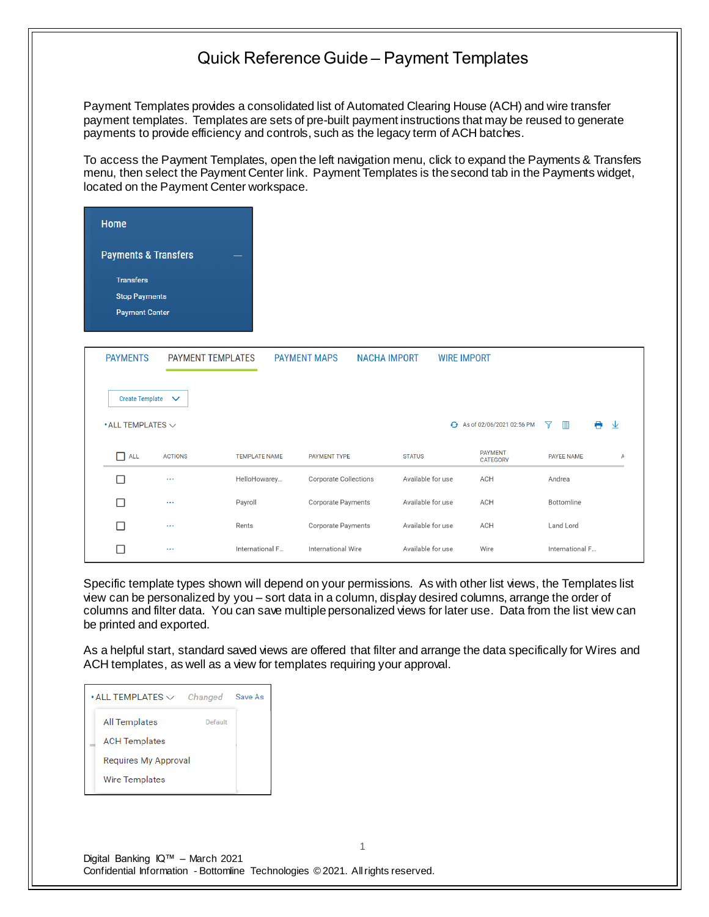Payment Templates provides a consolidated list of Automated Clearing House (ACH) and wire transfer payment templates. Templates are sets of pre-built payment instructions that may be reused to generate payments to provide efficiency and controls, such as the legacy term of ACH batches.

To access the Payment Templates, open the left navigation menu, click to expand the Payments & Transfers menu, then select the Payment Center link. Payment Templates is the second tab in the Payments widget, located on the Payment Center workspace.

| Home                                  |                |                      |                                            |                    |                                   |                                   |        |
|---------------------------------------|----------------|----------------------|--------------------------------------------|--------------------|-----------------------------------|-----------------------------------|--------|
| <b>Payments &amp; Transfers</b>       |                |                      |                                            |                    |                                   |                                   |        |
| <b>Transfers</b>                      |                |                      |                                            |                    |                                   |                                   |        |
| <b>Stop Payments</b>                  |                |                      |                                            |                    |                                   |                                   |        |
| <b>Payment Center</b>                 |                |                      |                                            |                    |                                   |                                   |        |
|                                       |                |                      |                                            |                    |                                   |                                   |        |
| <b>PAYMENTS</b>                       |                | PAYMENT TEMPLATES    | <b>NACHA IMPORT</b><br><b>PAYMENT MAPS</b> | <b>WIRE IMPORT</b> |                                   |                                   |        |
|                                       |                |                      |                                            |                    |                                   |                                   |        |
| Create Template $\vee$                |                |                      |                                            |                    |                                   |                                   |        |
| $\bullet$ ALL TEMPLATES $\smallsmile$ |                |                      |                                            |                    | ← As of 02/06/2021 02:56 PM       | $\blacksquare$<br>$\triangledown$ | A<br>业 |
| $\Box$ all                            | <b>ACTIONS</b> | <b>TEMPLATE NAME</b> | PAYMENT TYPE                               | <b>STATUS</b>      | <b>PAYMENT</b><br><b>CATEGORY</b> | PAYEE NAME                        | А      |
| П                                     | $\cdots$       | HelloHowarey         | <b>Corporate Collections</b>               | Available for use  | ACH                               | Andrea                            |        |
| П                                     | $\sim$ $\sim$  | Payroll              | Corporate Payments                         | Available for use  | ACH                               | Bottomline                        |        |
| П                                     | $\ldots$       | Rents                | Corporate Payments                         | Available for use  | ACH                               | Land Lord                         |        |
| П                                     | $\ldots$       | International F      | International Wire                         | Available for use  | Wire                              | International F                   |        |

Specific template types shown will depend on your permissions. As with other list views, the Templates list view can be personalized by you – sort data in a column, display desired columns, arrange the order of columns and filter data. You can save multiple personalized views for later use. Data from the list view can be printed and exported.

As a helpful start, standard saved views are offered that filter and arrange the data specifically for Wires and ACH templates, as well as a view for templates requiring your approval.

| $\boldsymbol{\cdot}$ ALL TEMPLATES $\smallsmile$ | Changed | Save As |
|--------------------------------------------------|---------|---------|
| <b>All Templates</b>                             | Default |         |
| <b>ACH Templates</b>                             |         |         |
| Requires My Approval                             |         |         |
| <b>Wire Templates</b>                            |         |         |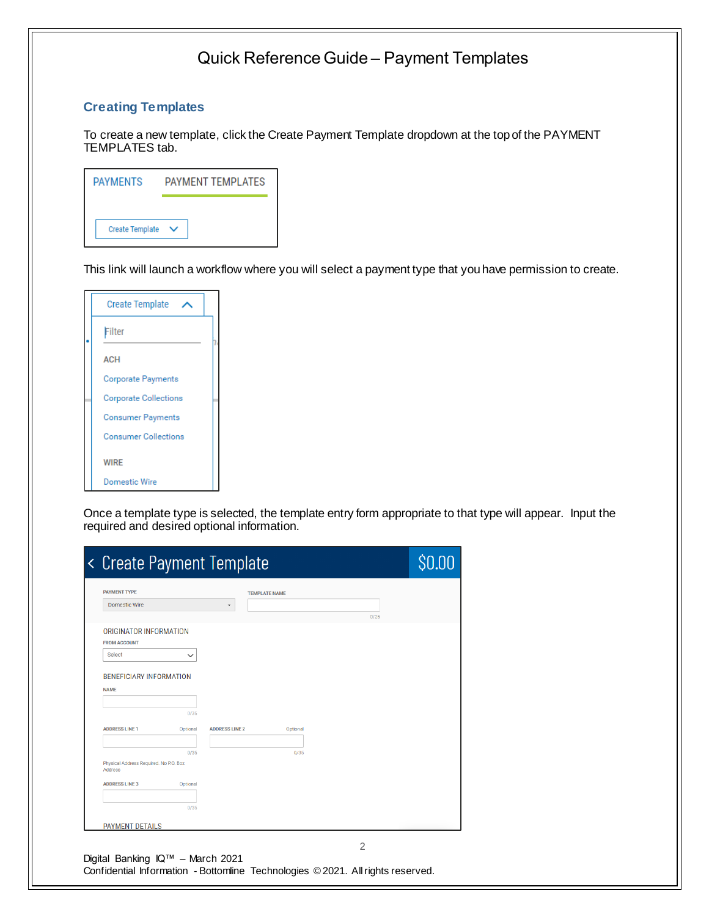### **Creating Templates**

To create a new template, click the Create Payment Template dropdown at the top of the PAYMENT TEMPLATES tab.

| <b>PAYMENTS</b>        | <b>PAYMENT TEMPLATES</b> |
|------------------------|--------------------------|
|                        |                          |
| <b>Create Template</b> |                          |

This link will launch a workflow where you will select a payment type that you have permission to create.

| <b>Create Template</b>       |  |
|------------------------------|--|
| Filter                       |  |
| <b>ACH</b>                   |  |
| <b>Corporate Payments</b>    |  |
| <b>Corporate Collections</b> |  |
| <b>Consumer Payments</b>     |  |
| <b>Consumer Collections</b>  |  |
| <b>WIRE</b>                  |  |
| Domestic Wire                |  |

Once a template type is selected, the template entry form appropriate to that type will appear. Input the required and desired optional information.

| <b>PAYMENT TYPE</b>                    |          |                       | <b>TEMPLATE NAME</b> |      |  |
|----------------------------------------|----------|-----------------------|----------------------|------|--|
| <b>Domestic Wire</b>                   |          | ٠                     |                      |      |  |
|                                        |          |                       |                      | 0/25 |  |
| ORIGINATOR INFORMATION                 |          |                       |                      |      |  |
| <b>FROM ACCOUNT</b>                    |          |                       |                      |      |  |
| Select                                 |          |                       |                      |      |  |
|                                        |          |                       |                      |      |  |
| <b>BENEFICIARY INFORMATION</b>         |          |                       |                      |      |  |
| <b>NAME</b>                            |          |                       |                      |      |  |
|                                        |          |                       |                      |      |  |
|                                        | 0/35     |                       |                      |      |  |
| <b>ADDRESS LINE 1</b>                  | Optional | <b>ADDRESS LINE 2</b> | Optional             |      |  |
|                                        |          |                       |                      |      |  |
|                                        | 0/35     |                       | 0/35                 |      |  |
| Physical Address Required. No P.O. Box |          |                       |                      |      |  |
| Address                                |          |                       |                      |      |  |
| <b>ADDRESS LINE 3</b>                  | Optional |                       |                      |      |  |
|                                        |          |                       |                      |      |  |
|                                        | 0/35     |                       |                      |      |  |
|                                        |          |                       |                      |      |  |
| <b>PAYMENT DETAILS</b>                 |          |                       |                      |      |  |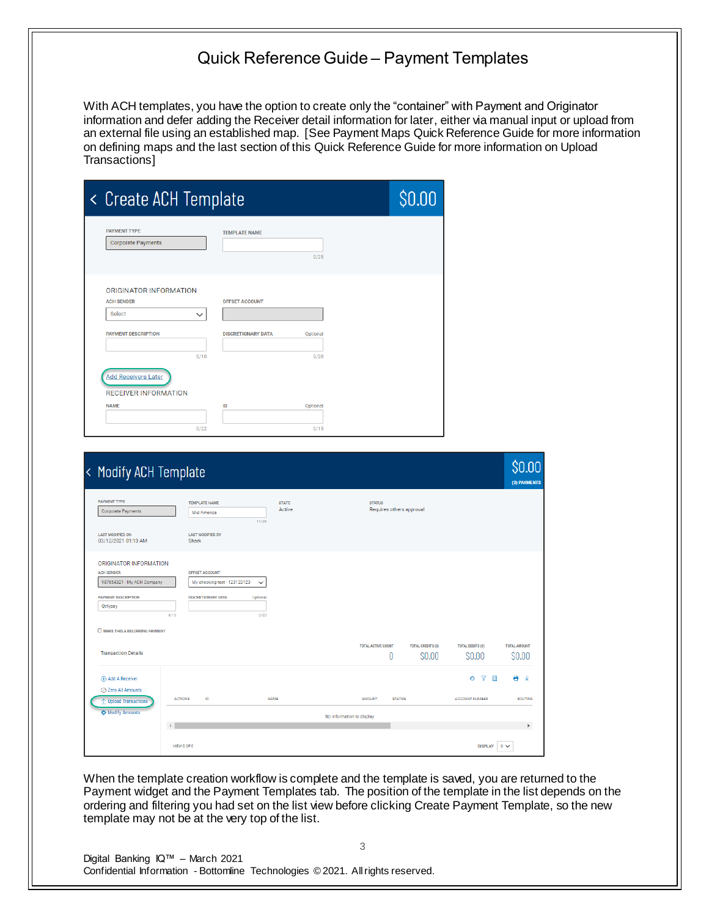With ACH templates, you have the option to create only the "container" with Payment and Originator information and defer adding the Receiver detail information for later, either via manual input or upload from an external file using an established map. [See Payment Maps Quick Reference Guide for more information on defining maps and the last section of this Quick Reference Guide for more information on Upload Transactions]

| < Create ACH Template                              |                           |          |  |  |  |
|----------------------------------------------------|---------------------------|----------|--|--|--|
| <b>PAYMENT TYPE</b><br><b>Corporate Payments</b>   | <b>TEMPLATE NAME</b>      | 0/25     |  |  |  |
| <b>ORIGINATOR INFORMATION</b><br><b>ACH SENDER</b> | <b>OFFSET ACCOUNT</b>     |          |  |  |  |
| Select<br>$\checkmark$                             |                           |          |  |  |  |
| <b>PAYMENT DESCRIPTION</b>                         | <b>DISCRETIONARY DATA</b> | Optional |  |  |  |
| 0/10                                               |                           | 0/20     |  |  |  |
| <b>Add Receivers Later</b>                         |                           |          |  |  |  |
| <b>RECEIVER INFORMATION</b>                        |                           |          |  |  |  |
|                                                    |                           |          |  |  |  |
| <b>NAME</b>                                        | ID                        | Optional |  |  |  |

| < Modify ACH Template                                                     |                                                               |                        |                                            |                                    |                                             | \$0.00<br>(0) PAYMENTS        |
|---------------------------------------------------------------------------|---------------------------------------------------------------|------------------------|--------------------------------------------|------------------------------------|---------------------------------------------|-------------------------------|
| <b>PAYMENT TYPE</b><br>Corporate Payments                                 | <b>TEMPLATE NAME</b><br>Mid America<br>11/25                  | <b>STATE</b><br>Active | <b>STATUS</b><br>Requires others approval  |                                    |                                             |                               |
| <b>LAST MODIFIED ON</b><br>03/12/2021 01:13 AM                            | <b>LAST MODIFIED BY</b><br>Shark                              |                        |                                            |                                    |                                             |                               |
| ORIGINATOR INFORMATION<br><b>ACH SENDER</b><br>987654321 - My ACH Company | OFFSET ACCOUNT<br>My checking test - 123123123<br>$\check{~}$ |                        |                                            |                                    |                                             |                               |
| <b>PAYMENT DESCRIPTION</b><br>Qtrlypay<br>8/10                            | <b>DISCRETIONARY DATA</b><br>Optional<br>0/20                 |                        |                                            |                                    |                                             |                               |
| O MAKE THIS A RECURRING PAYMENT<br><b>Transaction Details</b>             |                                                               |                        | <b>TOTAL ACTIVE COUNT</b><br>0             | <b>TOTAL CREDITS (0)</b><br>\$0.00 | <b>TOTAL DEBITS (0)</b><br>\$0.00           | <b>TOTAL AMOUNT</b><br>\$0.00 |
| (+) Add A Receiver<br>○ Zero All Amounts                                  |                                                               |                        |                                            |                                    | $\overline{Y}$<br>$\mathbb{m}$<br>$\bullet$ | AV                            |
| ← Upload Transactions<br><b>K</b> Modify Amounts                          | <b>ACTIONS</b><br>ID                                          | <b>NAME</b>            | <b>AMOUNT</b><br>No information to display | <b>STATUS</b>                      | <b>ACCOUNT NUMBER</b>                       | <b>ROUTING</b>                |
| VIEW 0 OF 0                                                               |                                                               |                        |                                            |                                    |                                             | Þ                             |

When the template creation workflow is complete and the template is saved, you are returned to the Payment widget and the Payment Templates tab. The position of the template in the list depends on the ordering and filtering you had set on the list view before clicking Create Payment Template, so the new template may not be at the very top of the list.

3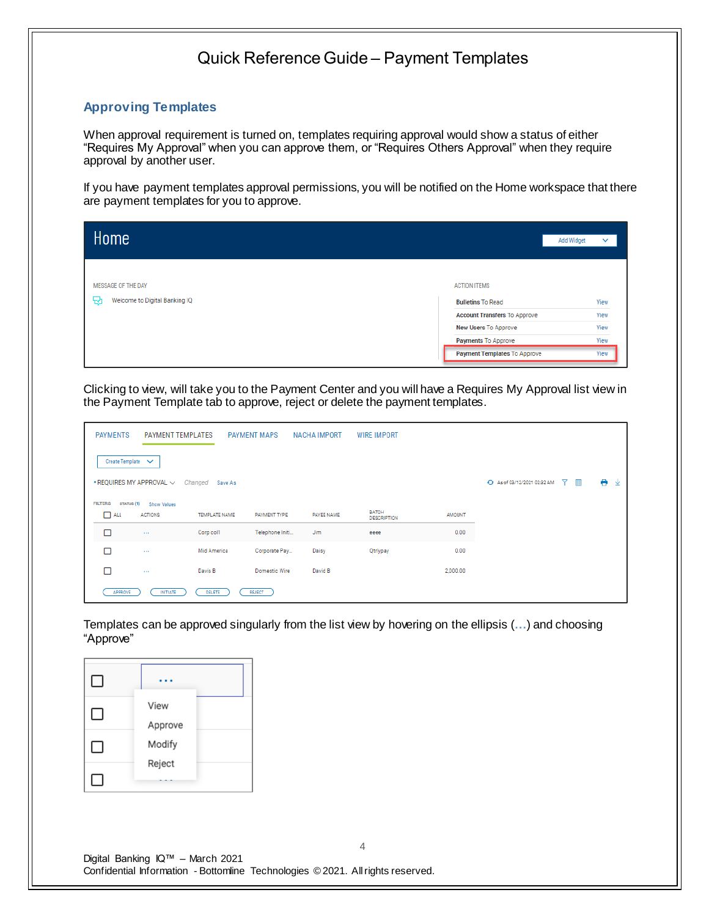#### **Approving Templates**

When approval requirement is turned on, templates requiring approval would show a status of either "Requires My Approval" when you can approve them, or "Requires Others Approval" when they require approval by another user.

If you have payment templates approval permissions, you will be notified on the Home workspace that there are payment templates for you to approve.

| Home                               |                     |                                     | <b>Add Widget</b><br>$\checkmark$ |
|------------------------------------|---------------------|-------------------------------------|-----------------------------------|
| MESSAGE OF THE DAY                 | <b>ACTION ITEMS</b> |                                     |                                   |
| Welcome to Digital Banking IQ<br>₩ |                     | <b>Bulletins To Read</b>            | View                              |
|                                    |                     | <b>Account Transfers To Approve</b> | View                              |
|                                    |                     | New Users To Approve                | View                              |
|                                    |                     | Payments To Approve                 | View                              |
|                                    |                     | <b>Payment Templates To Approve</b> | View                              |

Clicking to view, will take you to the Payment Center and you will have a Requires My Approval list view in the Payment Template tab to approve, reject or delete the payment templates.

| <b>PAYMENTS</b>   | <b>PAYMENT TEMPLATES</b>            |                      | <b>PAYMENT MAPS</b>  | NACHA IMPORT | <b>WIRE IMPORT</b>                 |               |                             |                          |        |
|-------------------|-------------------------------------|----------------------|----------------------|--------------|------------------------------------|---------------|-----------------------------|--------------------------|--------|
| Create Template V |                                     |                      |                      |              |                                    |               |                             |                          |        |
|                   | $\cdot$ REQUIRES MY APPROVAL $\vee$ | Changed<br>Save As   |                      |              |                                    |               | + As of 03/12/2021 02:32 AM | $\nabla$<br>$\mathbb{H}$ | ۰<br>业 |
| <b>FILTERS</b>    | STATUS (1)<br>Show Values           |                      |                      |              |                                    |               |                             |                          |        |
| Пш                | <b>ACTIONS</b>                      | <b>TEMPLATE NAME</b> | PAYMENT TYPE         | PAYEE NAME   | <b>BATCH</b><br><b>DESCRIPTION</b> | <b>AMOUNT</b> |                             |                          |        |
| □                 | $\sim 100$                          | Corp col1            | Telephone Initi      | <b>Jim</b>   | eeee                               | 0.00          |                             |                          |        |
| ⊓                 | 1111                                | Mid America          | Corporate Pay        | Daisy        | Qtrlypay                           | 0.00          |                             |                          |        |
| п                 | $\sim$                              | Davis B              | <b>Domestic Wire</b> | David B      |                                    | 2,000.00      |                             |                          |        |
| APPROVE           | <b>INITIATE</b>                     | DELETE               | <b>REJECT</b>        |              |                                    |               |                             |                          |        |

Templates can be approved singularly from the list view by hovering on the ellipsis (**…**) and choosing "Approve"

| $\Box$ |                 |  |
|--------|-----------------|--|
| ΙI     | View<br>Approve |  |
| ΙI     | Modify          |  |
|        | Reject          |  |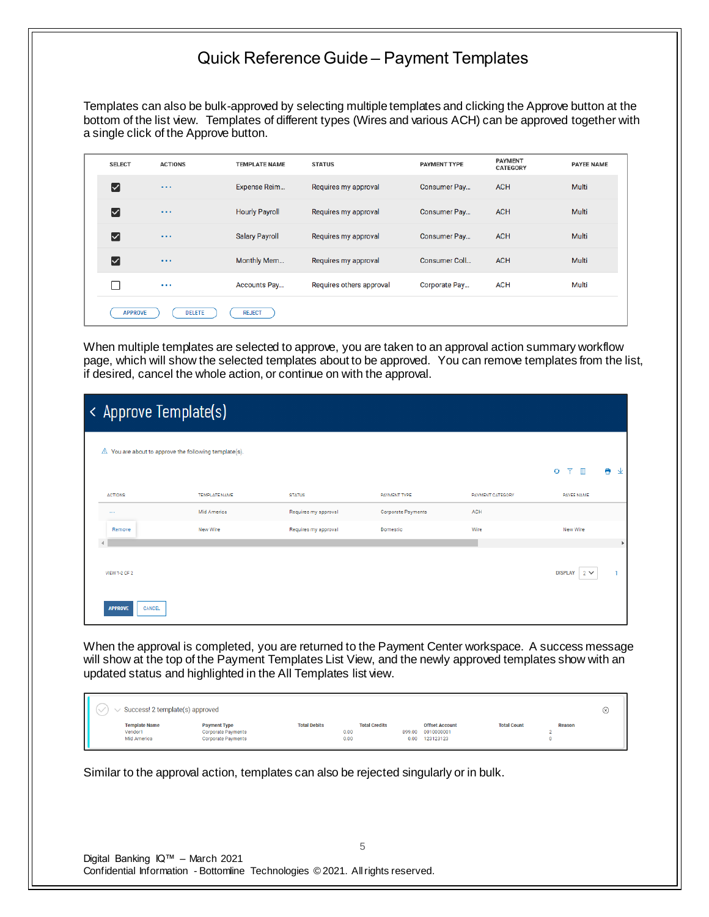Templates can also be bulk-approved by selecting multiple templates and clicking the Approve button at the bottom of the list view. Templates of different types (Wires and various ACH) can be approved together with a single click of the Approve button.

|  | <b>SELECT</b>                              | <b>ACTIONS</b> | <b>TEMPLATE NAME</b>  | <b>STATUS</b>            | PAYMENT TYPE  | <b>PAYMENT</b><br><b>CATEGORY</b> | <b>PAYEE NAME</b> |
|--|--------------------------------------------|----------------|-----------------------|--------------------------|---------------|-----------------------------------|-------------------|
|  | ☑                                          | $\cdots$       | Expense Reim          | Requires my approval     | Consumer Pay  | <b>ACH</b>                        | Multi             |
|  | $\lceil \checkmark \rceil$                 | $\cdots$       | <b>Hourly Payroll</b> | Requires my approval     | Consumer Pay  | <b>ACH</b>                        | Multi             |
|  | $\boldsymbol{\lbrack}$ $\boldsymbol{\vee}$ | $\cdots$       | <b>Salary Payroll</b> | Requires my approval     | Consumer Pay  | <b>ACH</b>                        | Multi             |
|  | $\boldsymbol{\lbrack}$                     | $\cdots$       | Monthly Mem           | Requires my approval     | Consumer Coll | <b>ACH</b>                        | Multi             |
|  | П                                          | $\cdots$       | Accounts Pay          | Requires others approval | Corporate Pay | <b>ACH</b>                        | Multi             |
|  | <b>APPROVE</b>                             | <b>DELETE</b>  | <b>REJECT</b>         |                          |               |                                   |                   |

When multiple templates are selected to approve, you are taken to an approval action summary workflow page, which will show the selected templates about to be approved. You can remove templates from the list, if desired, cancel the whole action, or continue on with the approval.

| < Approve Template(s)                                           |               |                      |                    |                  |                            |   |   |  |  |
|-----------------------------------------------------------------|---------------|----------------------|--------------------|------------------|----------------------------|---|---|--|--|
| $\triangle$ You are about to approve the following template(s). |               |                      |                    |                  |                            |   |   |  |  |
|                                                                 |               |                      |                    |                  | ▼ Ⅲ<br>$\bullet$           | e | 业 |  |  |
| <b>ACTIONS</b>                                                  | TEMPLATE NAME | <b>STATUS</b>        | PAYMENT TYPE       | PAYMENT CATEGORY | PAYEE NAME                 |   |   |  |  |
| 1.111                                                           | Mid America   | Requires my approval | Corporate Payments | ACH              |                            |   |   |  |  |
| Remove                                                          | New Wire      | Requires my approval | Domestic           | Wire             | New Wire                   |   |   |  |  |
|                                                                 |               |                      |                    |                  |                            |   | r |  |  |
| VIEW 1-2 OF 2                                                   |               |                      |                    |                  | <b>DISPLAY</b><br>$2 \vee$ |   |   |  |  |
| CANCEL<br><b>APPROVE</b>                                        |               |                      |                    |                  |                            |   |   |  |  |

When the approval is completed, you are returned to the Payment Center workspace. A success message will show at the top of the Payment Templates List View, and the newly approved templates show with an updated status and highlighted in the All Templates list view.

| Success! 2 template(s) approved                |                                                                               |                     |                                      |                |                                                  |                    |        | $(\times)$ |
|------------------------------------------------|-------------------------------------------------------------------------------|---------------------|--------------------------------------|----------------|--------------------------------------------------|--------------------|--------|------------|
| <b>Template Name</b><br>Vendor1<br>Mid America | <b>Payment Type</b><br><b>Corporate Payments</b><br><b>Corporate Payments</b> | <b>Total Debits</b> | <b>Total Credits</b><br>0.00<br>0.00 | 899.00<br>0.00 | <b>Offset Account</b><br>0010000001<br>123123123 | <b>Total Count</b> | Reason |            |

Similar to the approval action, templates can also be rejected singularly or in bulk.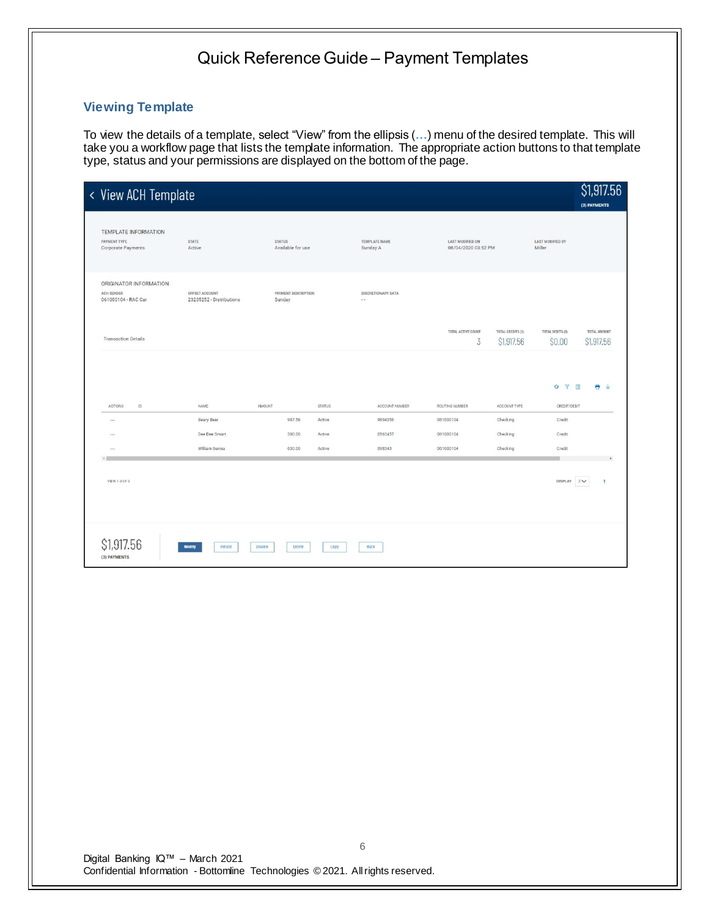#### **Viewing Template**

To view the details of a template, select "View" from the ellipsis (**…**) menu of the desired template. This will take you a workflow page that lists the template information. The appropriate action buttons to that template type, status and your permissions are displayed on the bottom of the page.

| < View ACH Template                                         |                                            |                                    |        |                                     |                                         |                                 |                                   | \$1,917.56<br>(3) PAYMENTS            |
|-------------------------------------------------------------|--------------------------------------------|------------------------------------|--------|-------------------------------------|-----------------------------------------|---------------------------------|-----------------------------------|---------------------------------------|
| TEMPLATE INFORMATION<br>PAYMENT TYPE<br>Corporate Payments  | <b>STATE</b><br>Active                     | <b>STATUS</b><br>Available for use |        | TEMPLATE NAME<br>Sunday A           | LAST MODIFIED ON<br>08/04/2020 03:52 PM |                                 | <b>LAST MODIFIED BY</b><br>Miller |                                       |
| ORIGINATOR INFORMATION<br>ACH SENDER<br>061000104 - RAC Car | OFFSET ACCOUNT<br>23235252 - Distributions | PAYMENT DESCRIPTION<br>Sunday      |        | DISCRETIONARY DATA<br>$\sim$ $\sim$ |                                         |                                 |                                   |                                       |
| <b>Transaction Details</b>                                  |                                            |                                    |        |                                     | TOTAL ACTIVE COUNT<br>3                 | TOTAL CREDITS (3)<br>\$1,917.56 | TOTAL DEBITS (0)<br>\$0.00        | TOTAL AMOUNT<br>S <sub>1,917.56</sub> |
|                                                             |                                            |                                    |        |                                     |                                         |                                 | O Y II                            | ÷<br>$\downarrow$                     |
| ACTIONS<br>ID                                               | NAME                                       | AMOUNT                             | STATUS | ACCOUNT NUMBER                      | ROUTING NUMBER                          | ACCOUNT TYPE                    | CREDIT/DEBIT                      |                                       |
| $\cdots$                                                    | Beary Bear                                 | 987.56                             | Active | 9894356                             | 061000104                               | Checking                        | Credit                            |                                       |
| $\cdots$                                                    | Dee Dee Smart                              | 300.00                             | Active | 0563457                             | 061000104                               | Checking                        | Credit                            |                                       |
| $\cdots$                                                    | William Genoa                              | 630.00                             | Active | 098343                              | 061000104                               | Checking                        | Credit                            |                                       |
| VIEW 1-3 OF 3                                               |                                            |                                    |        |                                     |                                         |                                 | <b>DISPLAY</b>                    | $3\vee$<br>$\mathbf{1}$               |
| \$1,917.56<br>(3) PAYMENTS                                  | Modify<br>Initiate<br><b>Disable</b>       | Delete                             | Copy   | <b>Back</b>                         |                                         |                                 |                                   |                                       |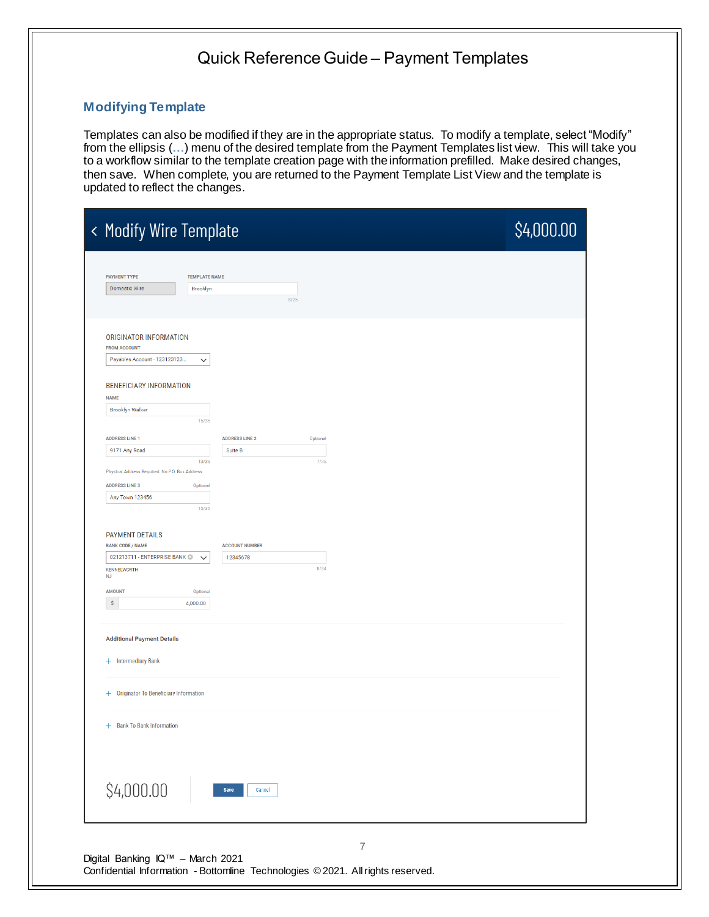#### **Modifying Template**

Templates can also be modified if they are in the appropriate status. To modify a template, select "Modify" from the ellipsis (**…**) menu of the desired template from the Payment Templates list view. This will take you to a workflow similar to the template creation page with the information prefilled. Make desired changes, then save. When complete, you are returned to the Payment Template List View and the template is updated to reflect the changes.

| < Modify Wire Template                            |                                   | \$4,000.00 |
|---------------------------------------------------|-----------------------------------|------------|
|                                                   |                                   |            |
| <b>PAYMENT TYPE</b><br><b>TEMPLATE NAME</b>       |                                   |            |
| <b>Domestic Wire</b><br>Brooklyn                  |                                   |            |
|                                                   | 8/25                              |            |
|                                                   |                                   |            |
| ORIGINATOR INFORMATION                            |                                   |            |
| <b>FROM ACCOUNT</b>                               |                                   |            |
| Payables Account - 123123123<br>$\checkmark$      |                                   |            |
|                                                   |                                   |            |
| <b>BENEFICIARY INFORMATION</b>                    |                                   |            |
| <b>NAME</b>                                       |                                   |            |
| <b>Brooklyn Walker</b>                            |                                   |            |
| 15/35                                             |                                   |            |
| <b>ADDRESS LINE 1</b>                             | <b>ADDRESS LINE 2</b><br>Optional |            |
| 9171 Any Road                                     | Suite B                           |            |
| 13/35                                             | 7/35                              |            |
| Physical Address Required. No P.O. Box Address    |                                   |            |
| <b>ADDRESS LINE 3</b><br>Optional                 |                                   |            |
| Any Town 123456<br>15/35                          |                                   |            |
|                                                   |                                   |            |
|                                                   |                                   |            |
| <b>PAYMENT DETAILS</b><br><b>BANK CODE / NAME</b> | <b>ACCOUNT NUMBER</b>             |            |
| 021213711 - ENTERPRISE BANK<br>$\checkmark$       | 12345678                          |            |
| <b>KENNELWORTH</b>                                | 8/34                              |            |
| NJ                                                |                                   |            |
| <b>AMOUNT</b><br>Optional                         |                                   |            |
| \$<br>4,000.00                                    |                                   |            |
|                                                   |                                   |            |
| <b>Additional Payment Details</b>                 |                                   |            |
|                                                   |                                   |            |
| + Intermediary Bank                               |                                   |            |
|                                                   |                                   |            |
|                                                   |                                   |            |
| + Originator To Beneficiary Information           |                                   |            |
|                                                   |                                   |            |
| + Bank To Bank Information                        |                                   |            |
|                                                   |                                   |            |
|                                                   |                                   |            |
|                                                   |                                   |            |
|                                                   |                                   |            |
|                                                   |                                   |            |
|                                                   | Save<br>Cancel                    |            |
| \$4,000.00                                        |                                   |            |
|                                                   |                                   |            |
|                                                   |                                   |            |
|                                                   | $\overline{\mathcal{I}}$          |            |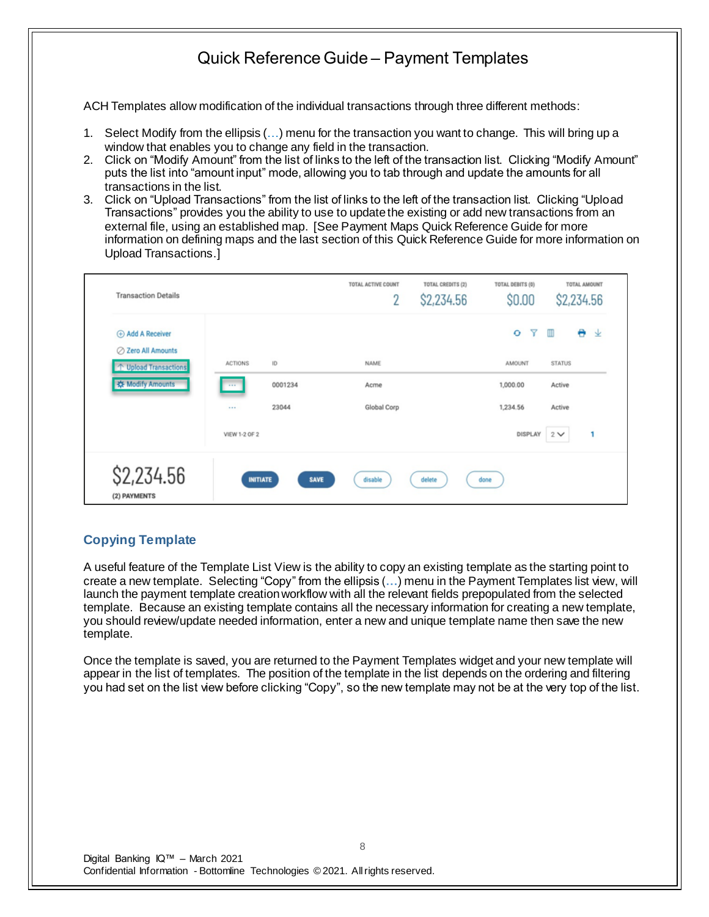ACH Templates allow modification of the individual transactions through three different methods:

- 1. Select Modify from the ellipsis (…) menu for the transaction you want to change. This will bring up a window that enables you to change any field in the transaction.
- 2. Click on "Modify Amount" from the list of links to the left of the transaction list. Clicking "Modify Amount" puts the list into "amount input" mode, allowing you to tab through and update the amounts for all transactions in the list.
- 3. Click on "Upload Transactions" from the list of links to the left of the transaction list. Clicking "Upload Transactions" provides you the ability to use to update the existing or add new transactions from an external file, using an established map. [See Payment Maps Quick Reference Guide for more information on defining maps and the last section of this Quick Reference Guide for more information on Upload Transactions.]

| <b>Transaction Details</b>           |                 |         | TOTAL ACTIVE COUNT<br>$\overline{2}$ | TOTAL CREDITS (2)<br>\$2,234.56 | TOTAL DEBITS (0)<br>\$0.00 | TOTAL AMOUNT<br>\$2,234.56 |   |
|--------------------------------------|-----------------|---------|--------------------------------------|---------------------------------|----------------------------|----------------------------|---|
| Add A Receiver<br>○ Zero All Amounts |                 |         |                                      |                                 | Y<br>$\bullet$             | e.<br>▥                    | 业 |
| T Upload Transactions                | <b>ACTIONS</b>  | ID      | NAME                                 |                                 | <b>AMOUNT</b>              | <b>STATUS</b>              |   |
| <b>K</b> Modify Amounts              | 1989.           | 0001234 | Acme                                 |                                 | 1,000.00                   | Active                     |   |
|                                      |                 | 23044   | Global Corp                          |                                 | 1,234.56                   | Active                     |   |
|                                      | VIEW 1-2 OF 2   |         |                                      |                                 | DISPLAY                    | $2 \vee$                   | 1 |
| \$2,234.56<br>(2) PAYMENTS           | <b>INITIATE</b> | SAVE    | disable                              | delete                          | done                       |                            |   |

#### **Copying Template**

A useful feature of the Template List View is the ability to copy an existing template as the starting point to create a new template. Selecting "Copy" from the ellipsis (**…**) menu in the Payment Templates list view, will launch the payment template creation workflow with all the relevant fields prepopulated from the selected template. Because an existing template contains all the necessary information for creating a new template, you should review/update needed information, enter a new and unique template name then save the new template.

Once the template is saved, you are returned to the Payment Templates widget and your new template will appear in the list of templates. The position of the template in the list depends on the ordering and filtering you had set on the list view before clicking "Copy", so the new template may not be at the very top of the list.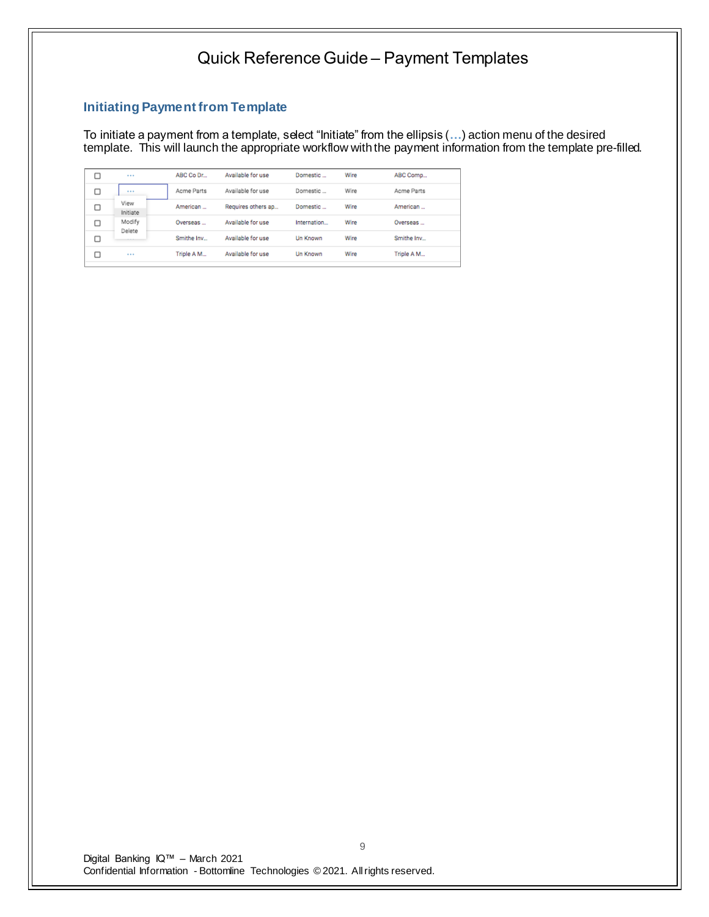### **Initiating Payment from Template**

To initiate a payment from a template, select "Initiate" from the ellipsis (**…**) action menu of the desired template. This will launch the appropriate workflow with the payment information from the template pre-filled.

|   | $+ + +$          | ABC Co Dr  | Available for use  | Domestic        | Wire | ABC Comp   |
|---|------------------|------------|--------------------|-----------------|------|------------|
| □ | $+ + +$          | Acme Parts | Available for use  | Domestic        | Wire | Acme Parts |
| □ | View<br>Initiate | American   | Requires others ap | Domestic        | Wire | American   |
| с | Modify<br>Delete | Overseas   | Available for use  | Internation     | Wire | Overseas   |
| c |                  | Smithe Inv | Available for use  | <b>Un Known</b> | Wire | Smithe Inv |
|   | $***$            | Triple A M | Available for use  | Un Known        | Wire | Triple A M |
|   |                  |            |                    |                 |      |            |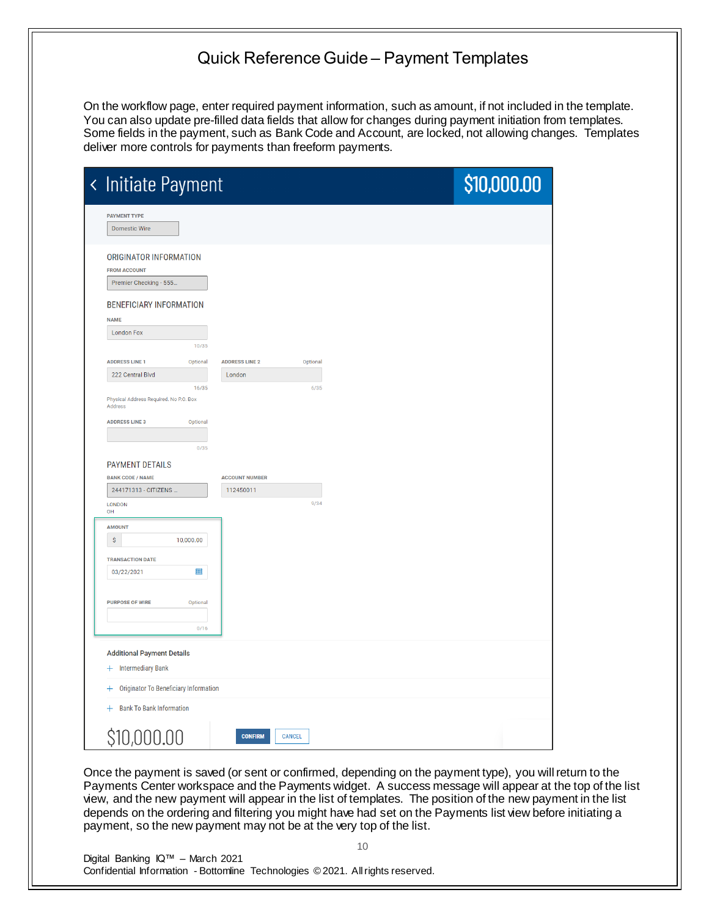On the workflow page, enter required payment information, such as amount, if not included in the template. You can also update pre-filled data fields that allow for changes during payment initiation from templates. Some fields in the payment, such as Bank Code and Account, are locked, not allowing changes. Templates deliver more controls for payments than freeform payments.

| < Initiate Payment                                                      | \$10,000.00 |
|-------------------------------------------------------------------------|-------------|
| <b>PAYMENT TYPE</b><br>Domestic Wire                                    |             |
| ORIGINATOR INFORMATION<br><b>FROM ACCOUNT</b><br>Premier Checking - 555 |             |
| <b>BENEFICIARY INFORMATION</b><br><b>NAME</b>                           |             |
| <b>London Fox</b><br>10/35                                              |             |
| <b>ADDRESS LINE 1</b><br><b>ADDRESS LINE 2</b><br>Optional<br>Optional  |             |
| 222 Central Blvd<br>London                                              |             |
| 16/35<br>6/35<br>Physical Address Required. No P.O. Box<br>Address      |             |
| <b>ADDRESS LINE 3</b><br>Optional                                       |             |
| 0/35                                                                    |             |
| <b>PAYMENT DETAILS</b>                                                  |             |
| <b>BANK CODE / NAME</b><br><b>ACCOUNT NUMBER</b>                        |             |
| 244171313 - CITIZENS<br>112450011                                       |             |
| 9/34<br>LONDON<br>OH                                                    |             |
| <b>AMOUNT</b>                                                           |             |
| \$<br>10,000.00                                                         |             |
| <b>TRANSACTION DATE</b><br>鰦<br>03/22/2021                              |             |
| <b>PURPOSE OF WIRE</b><br>Optional                                      |             |
| 0/16                                                                    |             |
|                                                                         |             |
| <b>Additional Payment Details</b><br>+ Intermediary Bank                |             |
| <b>Originator To Beneficiary Information</b><br>$\pm$                   |             |
| + Bank To Bank Information                                              |             |
| \$10,000.00<br><b>CONFIRM</b><br>CANCEL                                 |             |

Once the payment is saved (or sent or confirmed, depending on the payment type), you will return to the Payments Center workspace and the Payments widget. A success message will appear at the top of the list view, and the new payment will appear in the list of templates. The position of the new payment in the list depends on the ordering and filtering you might have had set on the Payments list view before initiating a payment, so the new payment may not be at the very top of the list.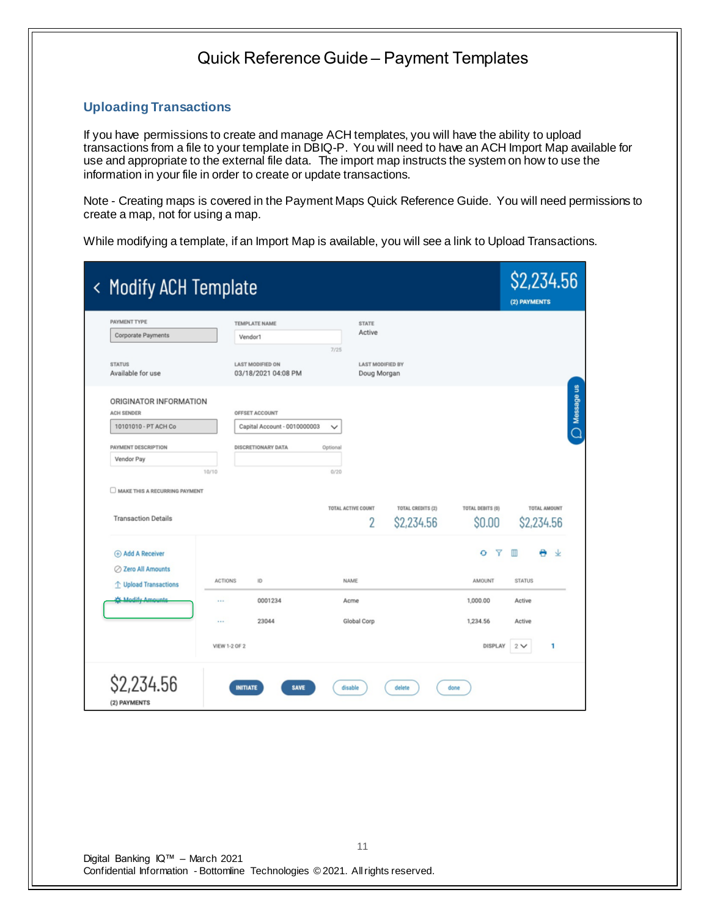#### **Uploading Transactions**

If you have permissions to create and manage ACH templates, you will have the ability to upload transactions from a file to your template in DBIQ-P. You will need to have an ACH Import Map available for use and appropriate to the external file data. The import map instructs the system on how to use the information in your file in order to create or update transactions.

Note - Creating maps is covered in the Payment Maps Quick Reference Guide. You will need permissions to create a map, not for using a map.

While modifying a template, if an Import Map is available, you will see a link to Upload Transactions.

|               |                                                                  |                |                                                                                                                    |                                                                  |                                                             |                                                             | (2) PAYMENTS     |              |
|---------------|------------------------------------------------------------------|----------------|--------------------------------------------------------------------------------------------------------------------|------------------------------------------------------------------|-------------------------------------------------------------|-------------------------------------------------------------|------------------|--------------|
|               |                                                                  |                |                                                                                                                    | <b>STATE</b>                                                     |                                                             |                                                             |                  |              |
|               |                                                                  |                | 7/25                                                                                                               |                                                                  |                                                             |                                                             |                  |              |
|               |                                                                  |                |                                                                                                                    |                                                                  |                                                             |                                                             |                  |              |
|               |                                                                  |                |                                                                                                                    |                                                                  |                                                             |                                                             |                  |              |
|               |                                                                  |                |                                                                                                                    |                                                                  |                                                             |                                                             |                  |              |
|               |                                                                  |                |                                                                                                                    |                                                                  |                                                             |                                                             |                  |              |
|               |                                                                  |                |                                                                                                                    |                                                                  |                                                             |                                                             |                  |              |
|               |                                                                  |                |                                                                                                                    | 2                                                                | \$2,234.56                                                  | \$0.00                                                      |                  | \$2,234.56   |
|               |                                                                  |                |                                                                                                                    |                                                                  |                                                             | Y<br>۰                                                      | M                | Ψ            |
|               |                                                                  |                |                                                                                                                    |                                                                  |                                                             |                                                             |                  |              |
|               |                                                                  | ID             |                                                                                                                    |                                                                  |                                                             | AMOUNT                                                      | <b>STATUS</b>    |              |
| $\cdots$      |                                                                  | 0001234        |                                                                                                                    |                                                                  |                                                             | 1,000.00                                                    | Active           |              |
| $\cdots$      |                                                                  | 23044          |                                                                                                                    |                                                                  |                                                             | 1,234.56                                                    | Active           |              |
| VIEW 1-2 OF 2 |                                                                  |                |                                                                                                                    |                                                                  |                                                             | DISPLAY                                                     | 2 <sub>2</sub>   | 1            |
|               | ORIGINATOR INFORMATION<br>10/10<br>MAKE THIS A RECURRING PAYMENT | <b>ACTIONS</b> | TEMPLATE NAME<br>Vendor1<br><b>LAST MODIFIED ON</b><br>03/18/2021 04:08 PM<br>OFFSET ACCOUNT<br>DISCRETIONARY DATA | Capital Account - 0010000003<br>$\checkmark$<br>Optional<br>0/20 | Active<br>TOTAL ACTIVE COUNT<br>NAME<br>Acme<br>Global Corp | <b>LAST MODIFIED BY</b><br>Doug Morgan<br>TOTAL CREDITS (2) | TOTAL DEBITS (0) | TOTAL AMOUNT |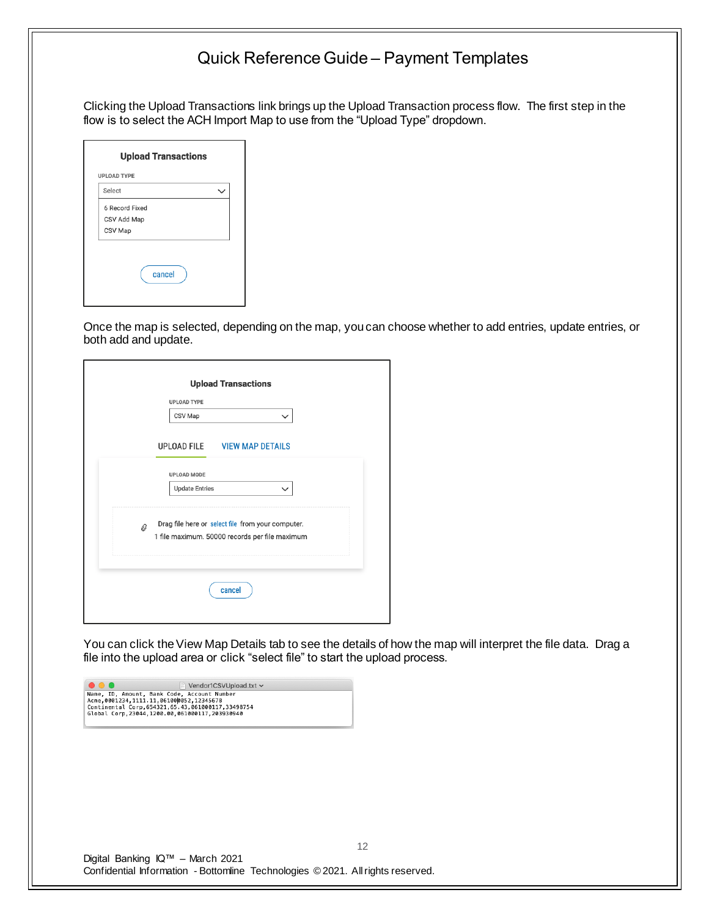Clicking the Upload Transactions link brings up the Upload Transaction process flow. The first step in the flow is to select the ACH Import Map to use from the "Upload Type" dropdown.

Once the map is selected, depending on the map, you can choose whether to add entries, update entries, or both add and update.

|   | <b>UPLOAD TYPE</b>    |                                                                                                     |              |  |
|---|-----------------------|-----------------------------------------------------------------------------------------------------|--------------|--|
|   | CSV Map               |                                                                                                     | $\checkmark$ |  |
|   |                       | UPLOAD FILE VIEW MAP DETAILS                                                                        |              |  |
|   | <b>UPLOAD MODE</b>    |                                                                                                     |              |  |
|   | <b>Update Entries</b> |                                                                                                     | $\checkmark$ |  |
| 0 |                       | Drag file here or select file from your computer.<br>1 file maximum. 50000 records per file maximum |              |  |
|   |                       | cancel                                                                                              |              |  |

You can click the View Map Details tab to see the details of how the map will interpret the file data. Drag a file into the upload area or click "select file" to start the upload process.

| $\bullet \bullet \bullet$ | Vendor1CSVUpload.txt ~                                                                                                                                                                                |
|---------------------------|-------------------------------------------------------------------------------------------------------------------------------------------------------------------------------------------------------|
|                           | Name, ID, Amount, Bank Code, Account Number<br>Acme, 0001234, 1111, 11, 061000052, 12345678<br>Continental Corp, 654321, 65, 43, 061000117, 33498754<br>Global Corp.23044.1200.00.061000117.203930940 |